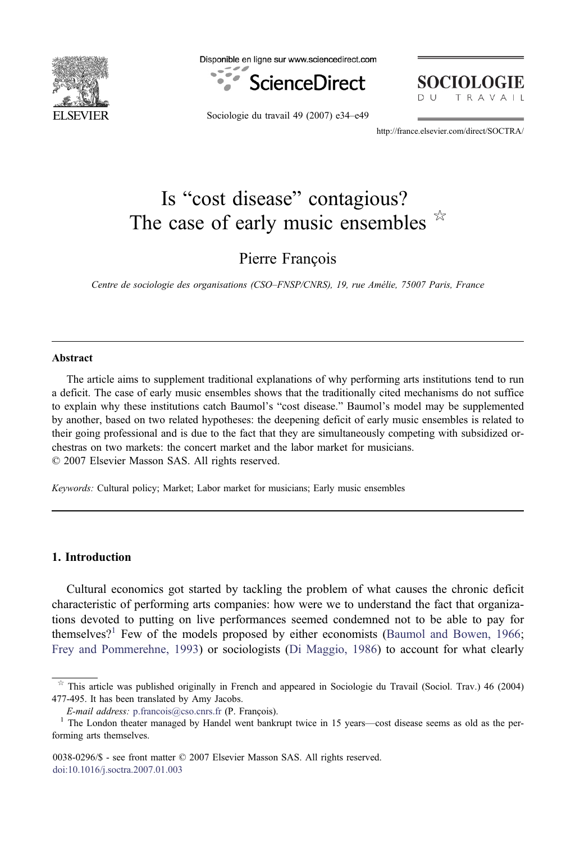

Disponible en ligne sur www.sciencedirect.com



**SOCIOLOGIE** TRAVAIL

Sociologie du travail 49 (2007) e34–e49

http://france.elsevier.com/direct/SOCTRA/

# Is "cost disease" contagious? The case of early music ensembles  $*$

Pierre François

Centre de sociologie des organisations (CSO–FNSP/CNRS), 19, rue Amélie, 75007 Paris, France

## Abstract

The article aims to supplement traditional explanations of why performing arts institutions tend to run a deficit. The case of early music ensembles shows that the traditionally cited mechanisms do not suffice to explain why these institutions catch Baumol's "cost disease." Baumol's model may be supplemented by another, based on two related hypotheses: the deepening deficit of early music ensembles is related to their going professional and is due to the fact that they are simultaneously competing with subsidized orchestras on two markets: the concert market and the labor market for musicians. © 2007 Elsevier Masson SAS. All rights reserved.

Keywords: Cultural policy; Market; Labor market for musicians; Early music ensembles

# 1. Introduction

Cultural economics got started by tackling the problem of what causes the chronic deficit characteristic of performing arts companies: how were we to understand the fact that organizations devoted to putting on live performances seemed condemned not to be able to pay for themselves?<sup>1</sup> Few of the models proposed by either economists [\(Baumol and Bowen, 1966](#page-15-0); [Frey and Pommerehne, 1993](#page-15-0)) or sociologists ([Di Maggio, 1986](#page-15-0)) to account for what clearly

0038-0296/\$ - see front matter © 2007 Elsevier Masson SAS. All rights reserved. [doi:10.1016/j.soctra.2007.01.003](dx.doi.org/10.1016/j.soctra.2007.01.003)

This article was published originally in French and appeared in Sociologie du Travail (Sociol. Trav.) 46 (2004) 477-495. It has been translated by Amy Jacobs.

E-mail address: [p.francois@cso.cnrs.fr](mailto:p.francois@cso.cnrs.fr) (P. François).<br><sup>1</sup> The London theater managed by Handel went bankrupt twice in 15 years—cost disease seems as old as the performing arts themselves.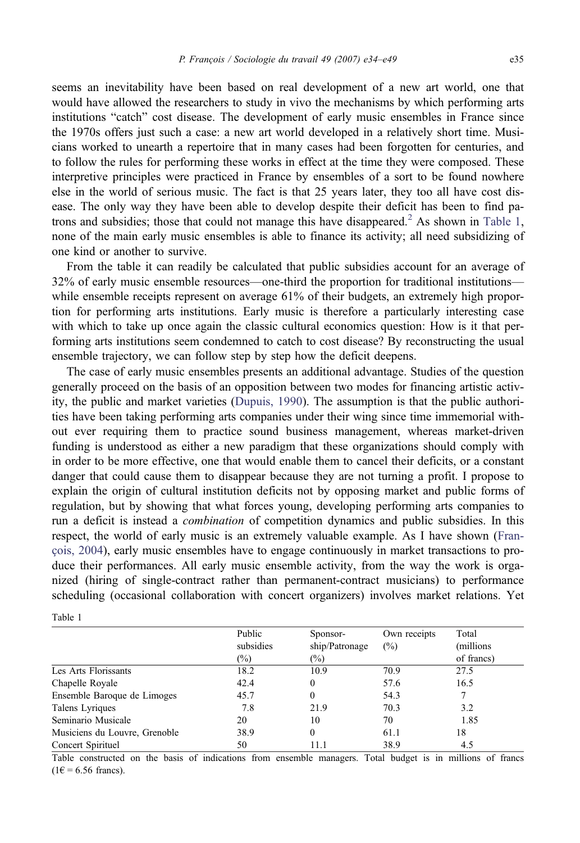seems an inevitability have been based on real development of a new art world, one that would have allowed the researchers to study in vivo the mechanisms by which performing arts institutions "catch" cost disease. The development of early music ensembles in France since the 1970s offers just such a case: a new art world developed in a relatively short time. Musicians worked to unearth a repertoire that in many cases had been forgotten for centuries, and to follow the rules for performing these works in effect at the time they were composed. These interpretive principles were practiced in France by ensembles of a sort to be found nowhere else in the world of serious music. The fact is that 25 years later, they too all have cost disease. The only way they have been able to develop despite their deficit has been to find patrons and subsidies; those that could not manage this have disappeared.<sup>2</sup> As shown in Table 1, none of the main early music ensembles is able to finance its activity; all need subsidizing of one kind or another to survive.

From the table it can readily be calculated that public subsidies account for an average of 32% of early music ensemble resources—one-third the proportion for traditional institutions while ensemble receipts represent on average 61% of their budgets, an extremely high proportion for performing arts institutions. Early music is therefore a particularly interesting case with which to take up once again the classic cultural economics question: How is it that performing arts institutions seem condemned to catch to cost disease? By reconstructing the usual ensemble trajectory, we can follow step by step how the deficit deepens.

The case of early music ensembles presents an additional advantage. Studies of the question generally proceed on the basis of an opposition between two modes for financing artistic activity, the public and market varieties ([Dupuis, 1990](#page-15-0)). The assumption is that the public authorities have been taking performing arts companies under their wing since time immemorial without ever requiring them to practice sound business management, whereas market-driven funding is understood as either a new paradigm that these organizations should comply with in order to be more effective, one that would enable them to cancel their deficits, or a constant danger that could cause them to disappear because they are not turning a profit. I propose to explain the origin of cultural institution deficits not by opposing market and public forms of regulation, but by showing that what forces young, developing performing arts companies to run a deficit is instead a combination of competition dynamics and public subsidies. In this respect, the world of early music is an extremely valuable example. As I have shown ([Fran](#page-15-0)[çois, 2004](#page-15-0)), early music ensembles have to engage continuously in market transactions to produce their performances. All early music ensemble activity, from the way the work is organized (hiring of single-contract rather than permanent-contract musicians) to performance scheduling (occasional collaboration with concert organizers) involves market relations. Yet

|                               | Public<br>subsidies<br>$(\%)$ | Sponsor-<br>ship/Patronage<br>$(\%)$ | Own receipts<br>$(\%)$ | Total<br>(millions)<br>of francs) |
|-------------------------------|-------------------------------|--------------------------------------|------------------------|-----------------------------------|
|                               |                               |                                      |                        |                                   |
|                               |                               |                                      |                        |                                   |
| Les Arts Florissants          | 18.2                          | 10.9                                 | 70.9                   | 27.5                              |
| Chapelle Royale               | 42.4                          | $\Omega$                             | 57.6                   | 16.5                              |
| Ensemble Baroque de Limoges   | 45.7                          | 0                                    | 54.3                   |                                   |
| Talens Lyriques               | 7.8                           | 21.9                                 | 70.3                   | 3.2                               |
| Seminario Musicale            | 20                            | 10                                   | 70                     | 1.85                              |
| Musiciens du Louvre, Grenoble | 38.9                          | $\Omega$                             | 61.1                   | 18                                |
| Concert Spirituel             | 50                            | 11.1                                 | 38.9                   | 4.5                               |

Table 1

Table constructed on the basis of indications from ensemble managers. Total budget is in millions of francs  $(1 \epsilon = 6.56$  francs).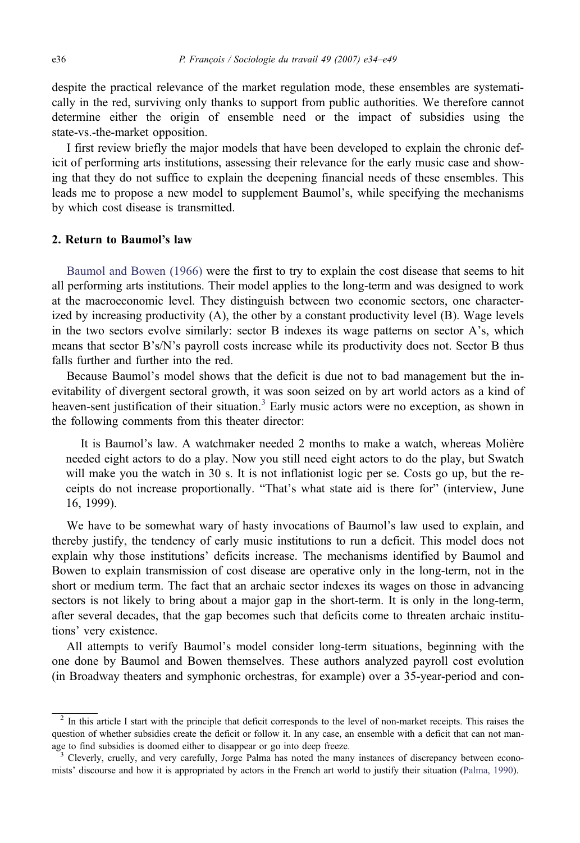despite the practical relevance of the market regulation mode, these ensembles are systematically in the red, surviving only thanks to support from public authorities. We therefore cannot determine either the origin of ensemble need or the impact of subsidies using the state-vs.-the-market opposition.

I first review briefly the major models that have been developed to explain the chronic deficit of performing arts institutions, assessing their relevance for the early music case and showing that they do not suffice to explain the deepening financial needs of these ensembles. This leads me to propose a new model to supplement Baumol's, while specifying the mechanisms by which cost disease is transmitted.

## 2. Return to Baumol*'*s law

[Baumol and Bowen \(1966\)](#page-15-0) were the first to try to explain the cost disease that seems to hit all performing arts institutions. Their model applies to the long-term and was designed to work at the macroeconomic level. They distinguish between two economic sectors, one characterized by increasing productivity (A), the other by a constant productivity level (B). Wage levels in the two sectors evolve similarly: sector B indexes its wage patterns on sector A's, which means that sector B's/N's payroll costs increase while its productivity does not. Sector B thus falls further and further into the red.

Because Baumol's model shows that the deficit is due not to bad management but the inevitability of divergent sectoral growth, it was soon seized on by art world actors as a kind of heaven-sent justification of their situation.<sup>3</sup> Early music actors were no exception, as shown in the following comments from this theater director:

It is Baumol's law. A watchmaker needed 2 months to make a watch, whereas Molière needed eight actors to do a play. Now you still need eight actors to do the play, but Swatch will make you the watch in 30 s. It is not inflationist logic per se. Costs go up, but the receipts do not increase proportionally. "That's what state aid is there for" (interview, June 16, 1999).

We have to be somewhat wary of hasty invocations of Baumol's law used to explain, and thereby justify, the tendency of early music institutions to run a deficit. This model does not explain why those institutions' deficits increase. The mechanisms identified by Baumol and Bowen to explain transmission of cost disease are operative only in the long-term, not in the short or medium term. The fact that an archaic sector indexes its wages on those in advancing sectors is not likely to bring about a major gap in the short-term. It is only in the long-term, after several decades, that the gap becomes such that deficits come to threaten archaic institutions' very existence.

All attempts to verify Baumol's model consider long-term situations, beginning with the one done by Baumol and Bowen themselves. These authors analyzed payroll cost evolution (in Broadway theaters and symphonic orchestras, for example) over a 35-year-period and con-

<sup>&</sup>lt;sup>2</sup> In this article I start with the principle that deficit corresponds to the level of non-market receipts. This raises the question of whether subsidies create the deficit or follow it. In any case, an ensemble with a deficit that can not manage to find subsidies is doomed either to disappear or go into deep freeze.<br><sup>3</sup> Cleverly, cruelly, and very carefully, Jorge Palma has noted the many instances of discrepancy between econo-

mists' discourse and how it is appropriated by actors in the French art world to justify their situation [\(Palma, 1990](#page-15-0)).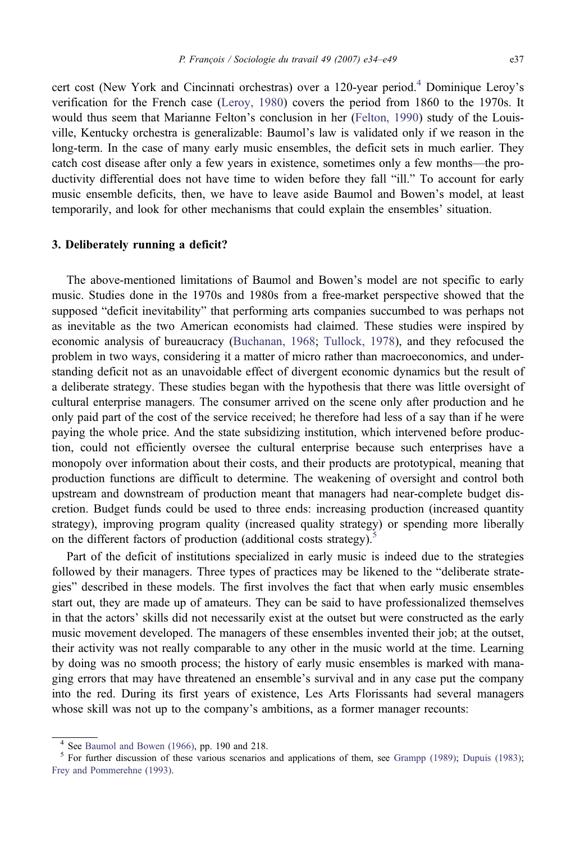cert cost (New York and Cincinnati orchestras) over a 120-year period.<sup>4</sup> Dominique Leroy's verification for the French case ([Leroy, 1980\)](#page-15-0) covers the period from 1860 to the 1970s. It would thus seem that Marianne Felton's conclusion in her ([Felton, 1990](#page-15-0)) study of the Louisville, Kentucky orchestra is generalizable: Baumol's law is validated only if we reason in the long-term. In the case of many early music ensembles, the deficit sets in much earlier. They catch cost disease after only a few years in existence, sometimes only a few months—the productivity differential does not have time to widen before they fall "ill." To account for early music ensemble deficits, then, we have to leave aside Baumol and Bowen's model, at least temporarily, and look for other mechanisms that could explain the ensembles' situation.

# 3. Deliberately running a deficit?

The above-mentioned limitations of Baumol and Bowen's model are not specific to early music. Studies done in the 1970s and 1980s from a free-market perspective showed that the supposed "deficit inevitability" that performing arts companies succumbed to was perhaps not as inevitable as the two American economists had claimed. These studies were inspired by economic analysis of bureaucracy [\(Buchanan, 1968;](#page-15-0) [Tullock, 1978\)](#page-15-0), and they refocused the problem in two ways, considering it a matter of micro rather than macroeconomics, and understanding deficit not as an unavoidable effect of divergent economic dynamics but the result of a deliberate strategy. These studies began with the hypothesis that there was little oversight of cultural enterprise managers. The consumer arrived on the scene only after production and he only paid part of the cost of the service received; he therefore had less of a say than if he were paying the whole price. And the state subsidizing institution, which intervened before production, could not efficiently oversee the cultural enterprise because such enterprises have a monopoly over information about their costs, and their products are prototypical, meaning that production functions are difficult to determine. The weakening of oversight and control both upstream and downstream of production meant that managers had near-complete budget discretion. Budget funds could be used to three ends: increasing production (increased quantity strategy), improving program quality (increased quality strategy) or spending more liberally on the different factors of production (additional costs strategy).<sup>5</sup>

Part of the deficit of institutions specialized in early music is indeed due to the strategies followed by their managers. Three types of practices may be likened to the "deliberate strategies" described in these models. The first involves the fact that when early music ensembles start out, they are made up of amateurs. They can be said to have professionalized themselves in that the actors' skills did not necessarily exist at the outset but were constructed as the early music movement developed. The managers of these ensembles invented their job; at the outset, their activity was not really comparable to any other in the music world at the time. Learning by doing was no smooth process; the history of early music ensembles is marked with managing errors that may have threatened an ensemble's survival and in any case put the company into the red. During its first years of existence, Les Arts Florissants had several managers whose skill was not up to the company's ambitions, as a former manager recounts:

<sup>&</sup>lt;sup>4</sup> See [Baumol and Bowen \(1966\),](#page-15-0) pp. 190 and 218.<br><sup>5</sup> For further discussion of these various scenarios and applications of them, see [Grampp \(1989\)](#page-15-0); [Dupuis \(1983\);](#page-15-0) [Frey and Pommerehne \(1993\)](#page-15-0).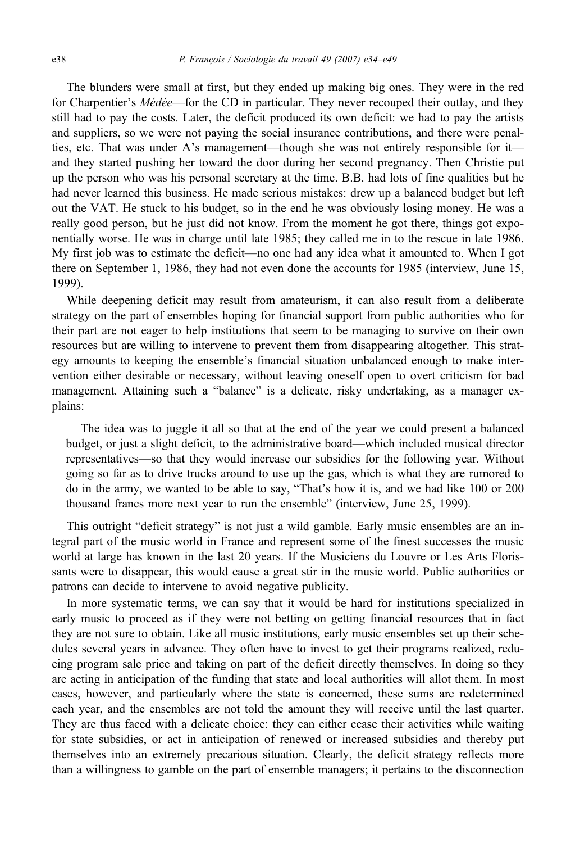The blunders were small at first, but they ended up making big ones. They were in the red for Charpentier's Médée—for the CD in particular. They never recouped their outlay, and they still had to pay the costs. Later, the deficit produced its own deficit: we had to pay the artists and suppliers, so we were not paying the social insurance contributions, and there were penalties, etc. That was under A's management—though she was not entirely responsible for it and they started pushing her toward the door during her second pregnancy. Then Christie put up the person who was his personal secretary at the time. B.B. had lots of fine qualities but he had never learned this business. He made serious mistakes: drew up a balanced budget but left out the VAT. He stuck to his budget, so in the end he was obviously losing money. He was a really good person, but he just did not know. From the moment he got there, things got exponentially worse. He was in charge until late 1985; they called me in to the rescue in late 1986. My first job was to estimate the deficit—no one had any idea what it amounted to. When I got there on September 1, 1986, they had not even done the accounts for 1985 (interview, June 15, 1999).

While deepening deficit may result from amateurism, it can also result from a deliberate strategy on the part of ensembles hoping for financial support from public authorities who for their part are not eager to help institutions that seem to be managing to survive on their own resources but are willing to intervene to prevent them from disappearing altogether. This strategy amounts to keeping the ensemble's financial situation unbalanced enough to make intervention either desirable or necessary, without leaving oneself open to overt criticism for bad management. Attaining such a "balance" is a delicate, risky undertaking, as a manager explains:

The idea was to juggle it all so that at the end of the year we could present a balanced budget, or just a slight deficit, to the administrative board—which included musical director representatives—so that they would increase our subsidies for the following year. Without going so far as to drive trucks around to use up the gas, which is what they are rumored to do in the army, we wanted to be able to say, "That's how it is, and we had like 100 or 200 thousand francs more next year to run the ensemble" (interview, June 25, 1999).

This outright "deficit strategy" is not just a wild gamble. Early music ensembles are an integral part of the music world in France and represent some of the finest successes the music world at large has known in the last 20 years. If the Musiciens du Louvre or Les Arts Florissants were to disappear, this would cause a great stir in the music world. Public authorities or patrons can decide to intervene to avoid negative publicity.

In more systematic terms, we can say that it would be hard for institutions specialized in early music to proceed as if they were not betting on getting financial resources that in fact they are not sure to obtain. Like all music institutions, early music ensembles set up their schedules several years in advance. They often have to invest to get their programs realized, reducing program sale price and taking on part of the deficit directly themselves. In doing so they are acting in anticipation of the funding that state and local authorities will allot them. In most cases, however, and particularly where the state is concerned, these sums are redetermined each year, and the ensembles are not told the amount they will receive until the last quarter. They are thus faced with a delicate choice: they can either cease their activities while waiting for state subsidies, or act in anticipation of renewed or increased subsidies and thereby put themselves into an extremely precarious situation. Clearly, the deficit strategy reflects more than a willingness to gamble on the part of ensemble managers; it pertains to the disconnection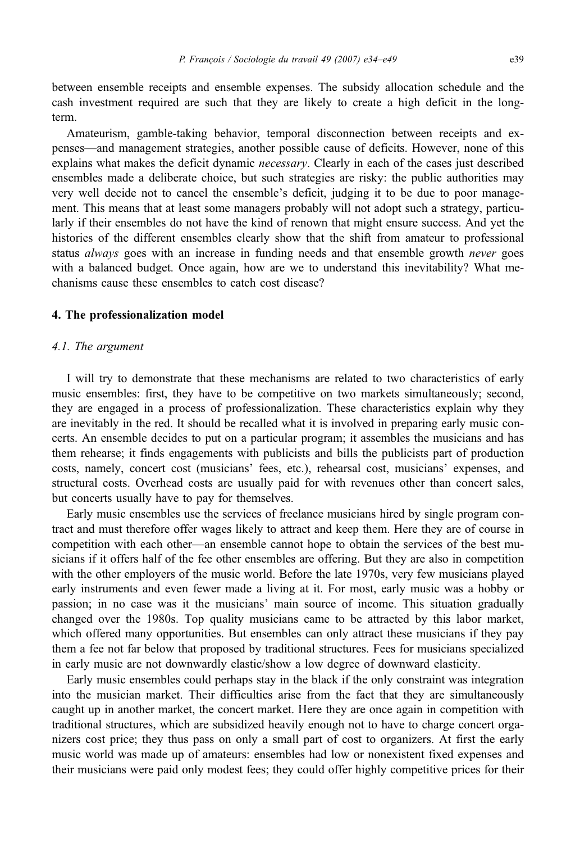between ensemble receipts and ensemble expenses. The subsidy allocation schedule and the cash investment required are such that they are likely to create a high deficit in the longterm.

Amateurism, gamble-taking behavior, temporal disconnection between receipts and expenses—and management strategies, another possible cause of deficits. However, none of this explains what makes the deficit dynamic *necessary*. Clearly in each of the cases just described ensembles made a deliberate choice, but such strategies are risky: the public authorities may very well decide not to cancel the ensemble's deficit, judging it to be due to poor management. This means that at least some managers probably will not adopt such a strategy, particularly if their ensembles do not have the kind of renown that might ensure success. And yet the histories of the different ensembles clearly show that the shift from amateur to professional status *always* goes with an increase in funding needs and that ensemble growth *never* goes with a balanced budget. Once again, how are we to understand this inevitability? What mechanisms cause these ensembles to catch cost disease?

### 4. The professionalization model

#### 4.1. The argument

I will try to demonstrate that these mechanisms are related to two characteristics of early music ensembles: first, they have to be competitive on two markets simultaneously; second, they are engaged in a process of professionalization. These characteristics explain why they are inevitably in the red. It should be recalled what it is involved in preparing early music concerts. An ensemble decides to put on a particular program; it assembles the musicians and has them rehearse; it finds engagements with publicists and bills the publicists part of production costs, namely, concert cost (musicians' fees, etc.), rehearsal cost, musicians' expenses, and structural costs. Overhead costs are usually paid for with revenues other than concert sales, but concerts usually have to pay for themselves.

Early music ensembles use the services of freelance musicians hired by single program contract and must therefore offer wages likely to attract and keep them. Here they are of course in competition with each other—an ensemble cannot hope to obtain the services of the best musicians if it offers half of the fee other ensembles are offering. But they are also in competition with the other employers of the music world. Before the late 1970s, very few musicians played early instruments and even fewer made a living at it. For most, early music was a hobby or passion; in no case was it the musicians' main source of income. This situation gradually changed over the 1980s. Top quality musicians came to be attracted by this labor market, which offered many opportunities. But ensembles can only attract these musicians if they pay them a fee not far below that proposed by traditional structures. Fees for musicians specialized in early music are not downwardly elastic/show a low degree of downward elasticity.

Early music ensembles could perhaps stay in the black if the only constraint was integration into the musician market. Their difficulties arise from the fact that they are simultaneously caught up in another market, the concert market. Here they are once again in competition with traditional structures, which are subsidized heavily enough not to have to charge concert organizers cost price; they thus pass on only a small part of cost to organizers. At first the early music world was made up of amateurs: ensembles had low or nonexistent fixed expenses and their musicians were paid only modest fees; they could offer highly competitive prices for their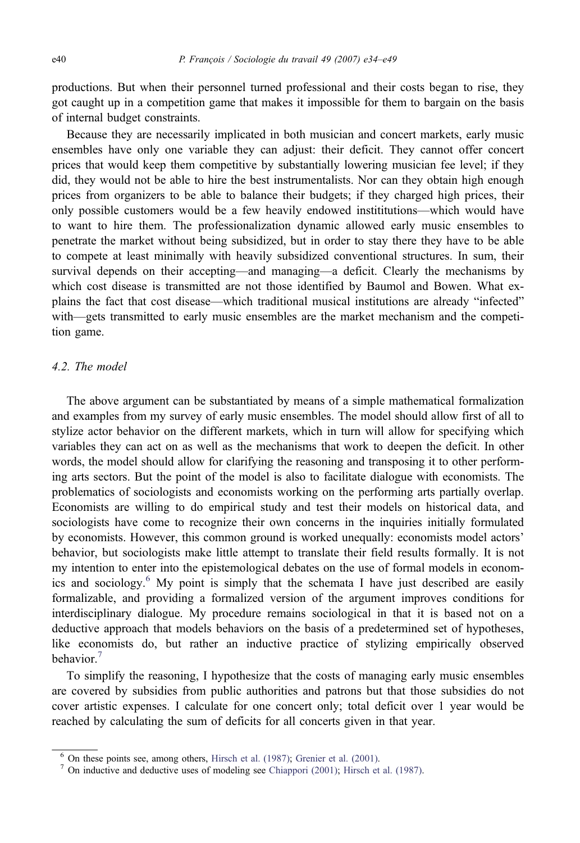productions. But when their personnel turned professional and their costs began to rise, they got caught up in a competition game that makes it impossible for them to bargain on the basis of internal budget constraints.

Because they are necessarily implicated in both musician and concert markets, early music ensembles have only one variable they can adjust: their deficit. They cannot offer concert prices that would keep them competitive by substantially lowering musician fee level; if they did, they would not be able to hire the best instrumentalists. Nor can they obtain high enough prices from organizers to be able to balance their budgets; if they charged high prices, their only possible customers would be a few heavily endowed instititutions—which would have to want to hire them. The professionalization dynamic allowed early music ensembles to penetrate the market without being subsidized, but in order to stay there they have to be able to compete at least minimally with heavily subsidized conventional structures. In sum, their survival depends on their accepting—and managing—a deficit. Clearly the mechanisms by which cost disease is transmitted are not those identified by Baumol and Bowen. What explains the fact that cost disease—which traditional musical institutions are already "infected" with—gets transmitted to early music ensembles are the market mechanism and the competition game.

# 4.2. The model

The above argument can be substantiated by means of a simple mathematical formalization and examples from my survey of early music ensembles. The model should allow first of all to stylize actor behavior on the different markets, which in turn will allow for specifying which variables they can act on as well as the mechanisms that work to deepen the deficit. In other words, the model should allow for clarifying the reasoning and transposing it to other performing arts sectors. But the point of the model is also to facilitate dialogue with economists. The problematics of sociologists and economists working on the performing arts partially overlap. Economists are willing to do empirical study and test their models on historical data, and sociologists have come to recognize their own concerns in the inquiries initially formulated by economists. However, this common ground is worked unequally: economists model actors' behavior, but sociologists make little attempt to translate their field results formally. It is not my intention to enter into the epistemological debates on the use of formal models in economics and sociology.<sup>6</sup> My point is simply that the schemata I have just described are easily formalizable, and providing a formalized version of the argument improves conditions for interdisciplinary dialogue. My procedure remains sociological in that it is based not on a deductive approach that models behaviors on the basis of a predetermined set of hypotheses, like economists do, but rather an inductive practice of stylizing empirically observed behavior.<sup>7</sup>

To simplify the reasoning, I hypothesize that the costs of managing early music ensembles are covered by subsidies from public authorities and patrons but that those subsidies do not cover artistic expenses. I calculate for one concert only; total deficit over 1 year would be reached by calculating the sum of deficits for all concerts given in that year.

<sup>&</sup>lt;sup>6</sup> On these points see, among others, [Hirsch et al. \(1987\);](#page-15-0) [Grenier et al. \(2001\).](#page-15-0) <sup>7</sup> On inductive and deductive uses of modeling see [Chiappori \(2001\);](#page-15-0) [Hirsch et al. \(1987\).](#page-15-0)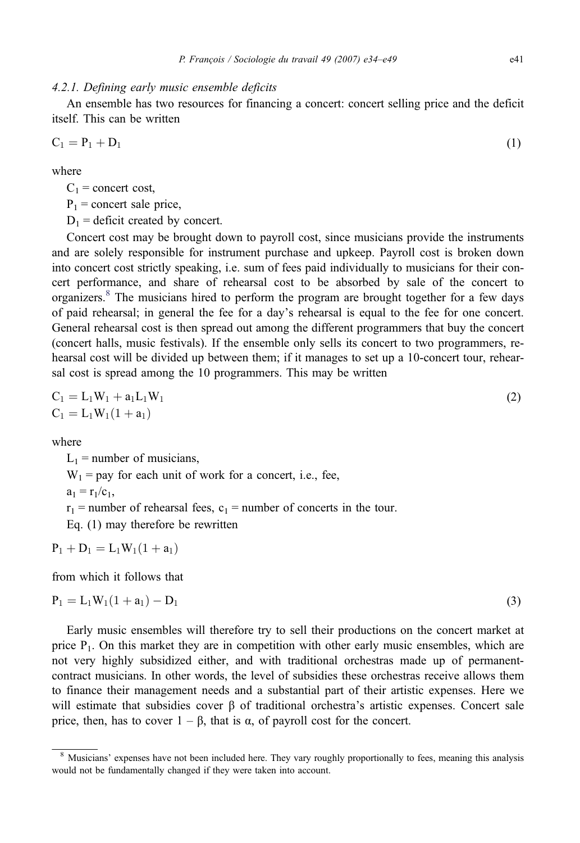### 4.2.1. Defining early music ensemble deficits

An ensemble has two resources for financing a concert: concert selling price and the deficit itself. This can be written

$$
C_1 = P_1 + D_1 \tag{1}
$$

where

 $C_1$  = concert cost,

 $P_1$  = concert sale price,

 $D_1$  = deficit created by concert.

Concert cost may be brought down to payroll cost, since musicians provide the instruments and are solely responsible for instrument purchase and upkeep. Payroll cost is broken down into concert cost strictly speaking, i.e. sum of fees paid individually to musicians for their concert performance, and share of rehearsal cost to be absorbed by sale of the concert to organizers.<sup>8</sup> The musicians hired to perform the program are brought together for a few days of paid rehearsal; in general the fee for a day's rehearsal is equal to the fee for one concert. General rehearsal cost is then spread out among the different programmers that buy the concert (concert halls, music festivals). If the ensemble only sells its concert to two programmers, rehearsal cost will be divided up between them; if it manages to set up a 10-concert tour, rehearsal cost is spread among the 10 programmers. This may be written

$$
C_1 = L_1 W_1 + a_1 L_1 W_1
$$
  
\n
$$
C_1 = L_1 W_1 (1 + a_1)
$$
\n(2)

where

 $L_1$  = number of musicians,

 $W_1$  = pay for each unit of work for a concert, i.e., fee,

 $a_1 = r_1/c_1$ ,

 $r_1$  = number of rehearsal fees,  $c_1$  = number of concerts in the tour.

Eq. (1) may therefore be rewritten

$$
P_1 + D_1 = L_1 W_1 (1 + a_1)
$$

from which it follows that

$$
P_1 = L_1 W_1 (1 + a_1) - D_1 \tag{3}
$$

Early music ensembles will therefore try to sell their productions on the concert market at price  $P_1$ . On this market they are in competition with other early music ensembles, which are not very highly subsidized either, and with traditional orchestras made up of permanentcontract musicians. In other words, the level of subsidies these orchestras receive allows them to finance their management needs and a substantial part of their artistic expenses. Here we will estimate that subsidies cover  $\beta$  of traditional orchestra's artistic expenses. Concert sale price, then, has to cover  $1 - \beta$ , that is α, of payroll cost for the concert.

<sup>&</sup>lt;sup>8</sup> Musicians' expenses have not been included here. They vary roughly proportionally to fees, meaning this analysis would not be fundamentally changed if they were taken into account.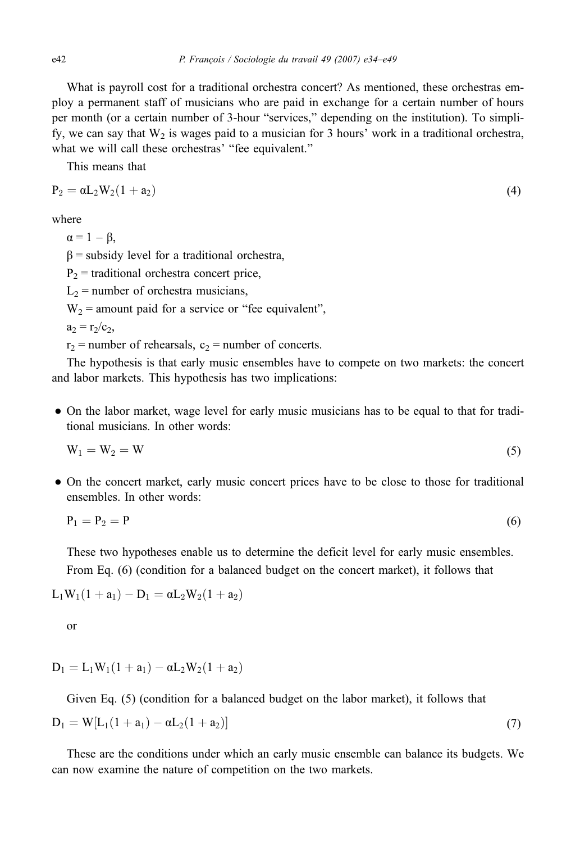What is payroll cost for a traditional orchestra concert? As mentioned, these orchestras employ a permanent staff of musicians who are paid in exchange for a certain number of hours per month (or a certain number of 3-hour "services," depending on the institution). To simplify, we can say that  $W_2$  is wages paid to a musician for 3 hours' work in a traditional orchestra, what we will call these orchestras' "fee equivalent."

This means that

$$
P_2 = \alpha L_2 W_2 (1 + a_2) \tag{4}
$$

where

 $\alpha = 1 - \beta$ ,

 $β =$  subsidy level for a traditional orchestra,

 $P_2$  = traditional orchestra concert price,

 $L_2$  = number of orchestra musicians,

 $W_2$  = amount paid for a service or "fee equivalent",

 $a_2 = r_2/c_2$ ,

 $r_2$  = number of rehearsals,  $c_2$  = number of concerts.

The hypothesis is that early music ensembles have to compete on two markets: the concert and labor markets. This hypothesis has two implications:

• On the labor market, wage level for early music musicians has to be equal to that for traditional musicians. In other words:

$$
W_1 = W_2 = W \tag{5}
$$

• On the concert market, early music concert prices have to be close to those for traditional ensembles. In other words:

$$
P_1 = P_2 = P \tag{6}
$$

These two hypotheses enable us to determine the deficit level for early music ensembles. From Eq. (6) (condition for a balanced budget on the concert market), it follows that

 $L_1W_1(1 + a_1) - D_1 = \alpha L_2W_2(1 + a_2)$ 

or

$$
D_1 = L_1 W_1 (1 + a_1) - \alpha L_2 W_2 (1 + a_2)
$$

Given Eq. (5) (condition for a balanced budget on the labor market), it follows that

$$
D_1 = W[L_1(1 + a_1) - \alpha L_2(1 + a_2)] \tag{7}
$$

These are the conditions under which an early music ensemble can balance its budgets. We can now examine the nature of competition on the two markets.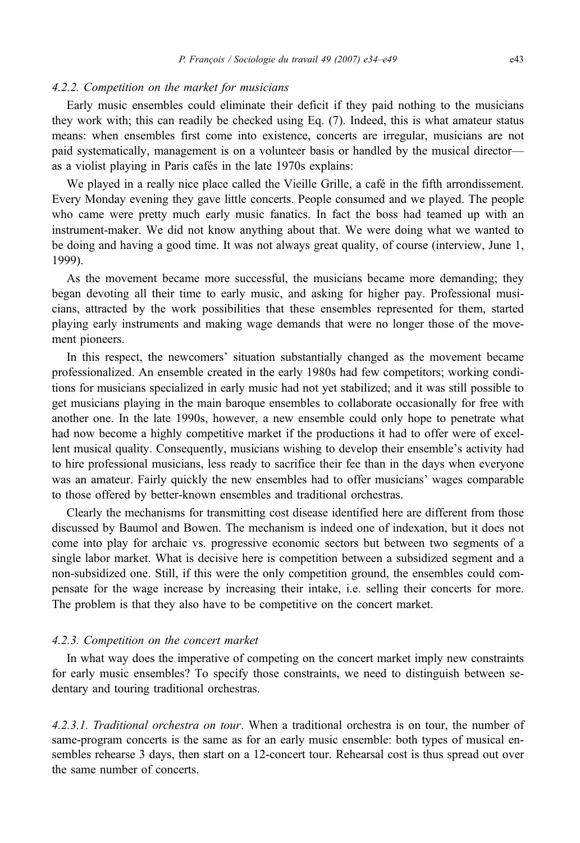## 4.2.2. Competition on the market for musicians

Early music ensembles could eliminate their deficit if they paid nothing to the musicians they work with; this can readily be checked using Eq. (7). Indeed, this is what amateur status means: when ensembles first come into existence, concerts are irregular, musicians are not paid systematically, management is on a volunteer basis or handled by the musical director as a violist playing in Paris cafés in the late 1970s explains:

We played in a really nice place called the Vieille Grille, a café in the fifth arrondissement. Every Monday evening they gave little concerts. People consumed and we played. The people who came were pretty much early music fanatics. In fact the boss had teamed up with an instrument-maker. We did not know anything about that. We were doing what we wanted to be doing and having a good time. It was not always great quality, of course (interview, June 1, 1999).

As the movement became more successful, the musicians became more demanding; they began devoting all their time to early music, and asking for higher pay. Professional musicians, attracted by the work possibilities that these ensembles represented for them, started playing early instruments and making wage demands that were no longer those of the movement pioneers.

In this respect, the newcomers' situation substantially changed as the movement became professionalized. An ensemble created in the early 1980s had few competitors; working conditions for musicians specialized in early music had not yet stabilized; and it was still possible to get musicians playing in the main baroque ensembles to collaborate occasionally for free with another one. In the late 1990s, however, a new ensemble could only hope to penetrate what had now become a highly competitive market if the productions it had to offer were of excellent musical quality. Consequently, musicians wishing to develop their ensemble's activity had to hire professional musicians, less ready to sacrifice their fee than in the days when everyone was an amateur. Fairly quickly the new ensembles had to offer musicians' wages comparable to those offered by better-known ensembles and traditional orchestras.

Clearly the mechanisms for transmitting cost disease identified here are different from those discussed by Baumol and Bowen. The mechanism is indeed one of indexation, but it does not come into play for archaic vs. progressive economic sectors but between two segments of a single labor market. What is decisive here is competition between a subsidized segment and a non-subsidized one. Still, if this were the only competition ground, the ensembles could compensate for the wage increase by increasing their intake, i.e. selling their concerts for more. The problem is that they also have to be competitive on the concert market.

### 4.2.3. Competition on the concert market

In what way does the imperative of competing on the concert market imply new constraints for early music ensembles? To specify those constraints, we need to distinguish between sedentary and touring traditional orchestras.

4.2.3.1. Traditional orchestra on tour. When a traditional orchestra is on tour, the number of same-program concerts is the same as for an early music ensemble: both types of musical ensembles rehearse 3 days, then start on a 12-concert tour. Rehearsal cost is thus spread out over the same number of concerts.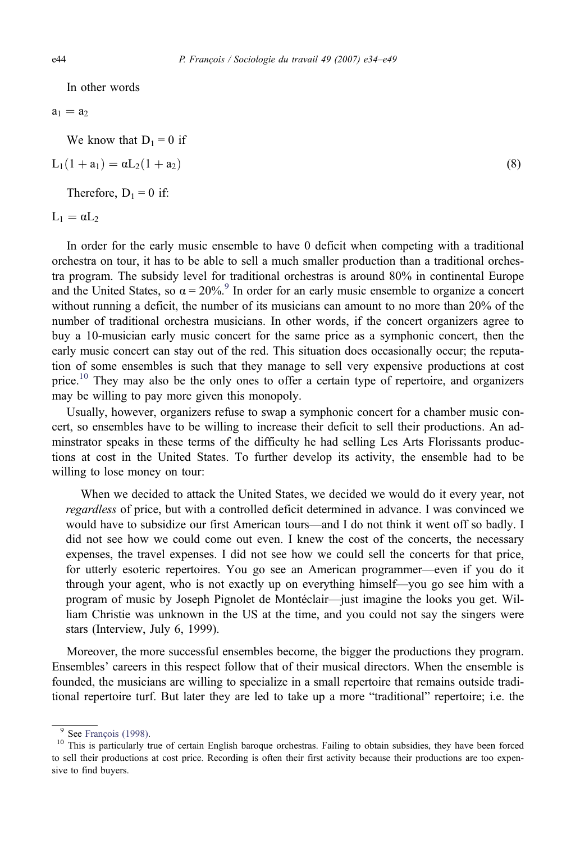In other words

 $a_1 = a_2$ 

We know that  $D_1 = 0$  if

 $L_1(1 + a_1) = \alpha L_2(1 + a_2)$  (8)

Therefore,  $D_1 = 0$  if:

 $L_1 = \alpha L_2$ 

In order for the early music ensemble to have 0 deficit when competing with a traditional orchestra on tour, it has to be able to sell a much smaller production than a traditional orchestra program. The subsidy level for traditional orchestras is around 80% in continental Europe and the United States, so  $\alpha = 20\%$ .<sup>9</sup> In order for an early music ensemble to organize a concert without running a deficit, the number of its musicians can amount to no more than 20% of the number of traditional orchestra musicians. In other words, if the concert organizers agree to buy a 10-musician early music concert for the same price as a symphonic concert, then the early music concert can stay out of the red. This situation does occasionally occur; the reputation of some ensembles is such that they manage to sell very expensive productions at cost price.<sup>10</sup> They may also be the only ones to offer a certain type of repertoire, and organizers may be willing to pay more given this monopoly.

Usually, however, organizers refuse to swap a symphonic concert for a chamber music concert, so ensembles have to be willing to increase their deficit to sell their productions. An adminstrator speaks in these terms of the difficulty he had selling Les Arts Florissants productions at cost in the United States. To further develop its activity, the ensemble had to be willing to lose money on tour:

When we decided to attack the United States, we decided we would do it every year, not regardless of price, but with a controlled deficit determined in advance. I was convinced we would have to subsidize our first American tours—and I do not think it went off so badly. I did not see how we could come out even. I knew the cost of the concerts, the necessary expenses, the travel expenses. I did not see how we could sell the concerts for that price, for utterly esoteric repertoires. You go see an American programmer—even if you do it through your agent, who is not exactly up on everything himself—you go see him with a program of music by Joseph Pignolet de Montéclair—just imagine the looks you get. William Christie was unknown in the US at the time, and you could not say the singers were stars (Interview, July 6, 1999).

Moreover, the more successful ensembles become, the bigger the productions they program. Ensembles' careers in this respect follow that of their musical directors. When the ensemble is founded, the musicians are willing to specialize in a small repertoire that remains outside traditional repertoire turf. But later they are led to take up a more "traditional" repertoire; i.e. the

<sup>&</sup>lt;sup>9</sup> See [François \(1998\).](#page-15-0)<br><sup>10</sup> This is particularly true of certain English baroque orchestras. Failing to obtain subsidies, they have been forced to sell their productions at cost price. Recording is often their first activity because their productions are too expensive to find buyers.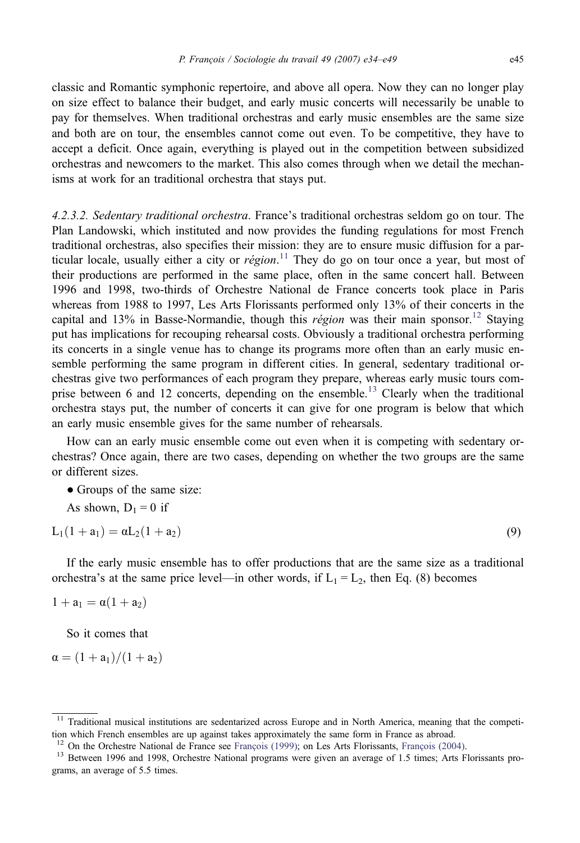classic and Romantic symphonic repertoire, and above all opera. Now they can no longer play on size effect to balance their budget, and early music concerts will necessarily be unable to pay for themselves. When traditional orchestras and early music ensembles are the same size and both are on tour, the ensembles cannot come out even. To be competitive, they have to accept a deficit. Once again, everything is played out in the competition between subsidized orchestras and newcomers to the market. This also comes through when we detail the mechanisms at work for an traditional orchestra that stays put.

4.2.3.2. Sedentary traditional orchestra. France's traditional orchestras seldom go on tour. The Plan Landowski, which instituted and now provides the funding regulations for most French traditional orchestras, also specifies their mission: they are to ensure music diffusion for a particular locale, usually either a city or région.<sup>11</sup> They do go on tour once a year, but most of their productions are performed in the same place, often in the same concert hall. Between 1996 and 1998, two-thirds of Orchestre National de France concerts took place in Paris whereas from 1988 to 1997, Les Arts Florissants performed only 13% of their concerts in the capital and 13% in Basse-Normandie, though this *région* was their main sponsor.<sup>12</sup> Staying put has implications for recouping rehearsal costs. Obviously a traditional orchestra performing its concerts in a single venue has to change its programs more often than an early music ensemble performing the same program in different cities. In general, sedentary traditional orchestras give two performances of each program they prepare, whereas early music tours comprise between 6 and 12 concerts, depending on the ensemble.<sup>13</sup> Clearly when the traditional orchestra stays put, the number of concerts it can give for one program is below that which an early music ensemble gives for the same number of rehearsals.

How can an early music ensemble come out even when it is competing with sedentary orchestras? Once again, there are two cases, depending on whether the two groups are the same or different sizes.

• Groups of the same size:

As shown,  $D_1 = 0$  if

$$
L_1(1 + a_1) = \alpha L_2(1 + a_2)
$$
\n(9)

If the early music ensemble has to offer productions that are the same size as a traditional orchestra's at the same price level—in other words, if  $L_1 = L_2$ , then Eq. (8) becomes

$$
1+a_1=\alpha(1+a_2)
$$

So it comes that

$$
\alpha=(1+a_1)/(1+a_2)
$$

<sup>&</sup>lt;sup>11</sup> Traditional musical institutions are sedentarized across Europe and in North America, meaning that the competition which French ensembles are up against takes approximately the same form in France as abroad.<br><sup>12</sup> On the Orchestre National de France see François (1999); on Les Arts Florissants, François (2004).

<sup>&</sup>lt;sup>13</sup> Between 1996 and 1998, Orchestre National programs were given an average of 1.5 times; Arts Florissants programs, an average of 5.5 times.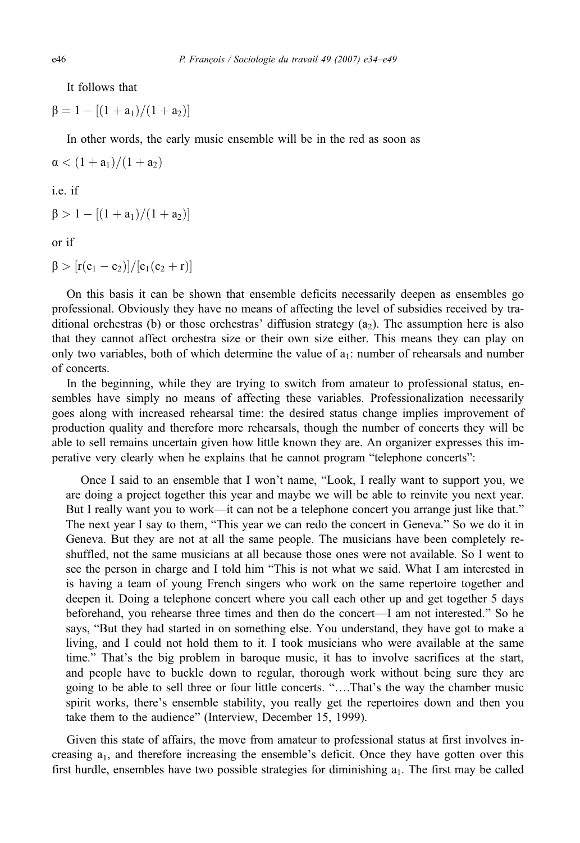It follows that

 $\beta = 1 - [(1 + a_1)/(1 + a_2)]$ 

In other words, the early music ensemble will be in the red as soon as

 $\alpha < (1 + a_1)/(1 + a_2)$ 

i.e. if

 $\beta > 1 - [(1 + a_1)/(1 + a_2)]$ 

or if

 $β > [r(c<sub>1</sub> - c<sub>2</sub>)]/[c<sub>1</sub>(c<sub>2</sub> + r)]$ 

On this basis it can be shown that ensemble deficits necessarily deepen as ensembles go professional. Obviously they have no means of affecting the level of subsidies received by traditional orchestras (b) or those orchestras' diffusion strategy  $(a_2)$ . The assumption here is also that they cannot affect orchestra size or their own size either. This means they can play on only two variables, both of which determine the value of  $a_1$ : number of rehearsals and number of concerts.

In the beginning, while they are trying to switch from amateur to professional status, ensembles have simply no means of affecting these variables. Professionalization necessarily goes along with increased rehearsal time: the desired status change implies improvement of production quality and therefore more rehearsals, though the number of concerts they will be able to sell remains uncertain given how little known they are. An organizer expresses this imperative very clearly when he explains that he cannot program "telephone concerts":

Once I said to an ensemble that I won't name, "Look, I really want to support you, we are doing a project together this year and maybe we will be able to reinvite you next year. But I really want you to work—it can not be a telephone concert you arrange just like that." The next year I say to them, "This year we can redo the concert in Geneva." So we do it in Geneva. But they are not at all the same people. The musicians have been completely reshuffled, not the same musicians at all because those ones were not available. So I went to see the person in charge and I told him "This is not what we said. What I am interested in is having a team of young French singers who work on the same repertoire together and deepen it. Doing a telephone concert where you call each other up and get together 5 days beforehand, you rehearse three times and then do the concert—I am not interested." So he says, "But they had started in on something else. You understand, they have got to make a living, and I could not hold them to it. I took musicians who were available at the same time." That's the big problem in baroque music, it has to involve sacrifices at the start, and people have to buckle down to regular, thorough work without being sure they are going to be able to sell three or four little concerts. "….That's the way the chamber music spirit works, there's ensemble stability, you really get the repertoires down and then you take them to the audience" (Interview, December 15, 1999).

Given this state of affairs, the move from amateur to professional status at first involves increasing  $a_1$ , and therefore increasing the ensemble's deficit. Once they have gotten over this first hurdle, ensembles have two possible strategies for diminishing a<sub>1</sub>. The first may be called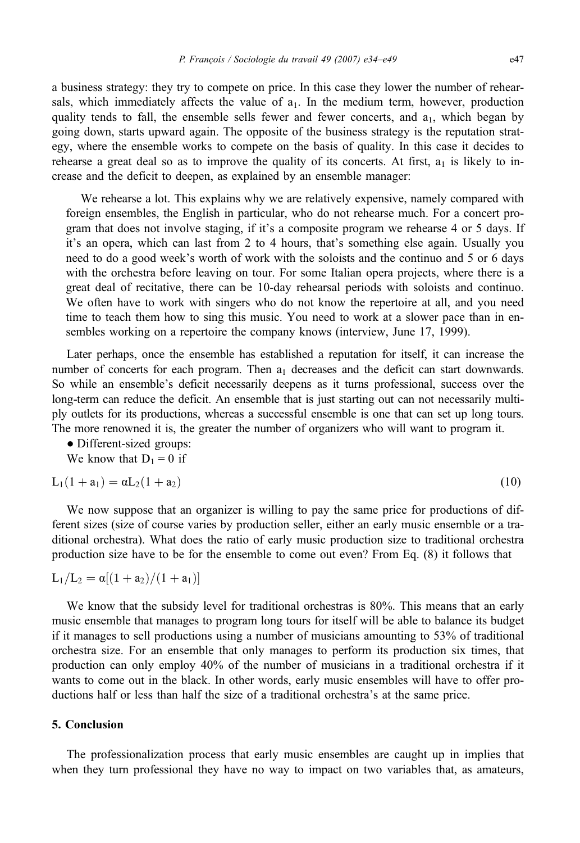a business strategy: they try to compete on price. In this case they lower the number of rehearsals, which immediately affects the value of  $a_1$ . In the medium term, however, production quality tends to fall, the ensemble sells fewer and fewer concerts, and  $a_1$ , which began by going down, starts upward again. The opposite of the business strategy is the reputation strategy, where the ensemble works to compete on the basis of quality. In this case it decides to rehearse a great deal so as to improve the quality of its concerts. At first,  $a_1$  is likely to increase and the deficit to deepen, as explained by an ensemble manager:

We rehearse a lot. This explains why we are relatively expensive, namely compared with foreign ensembles, the English in particular, who do not rehearse much. For a concert program that does not involve staging, if it's a composite program we rehearse 4 or 5 days. If it's an opera, which can last from 2 to 4 hours, that's something else again. Usually you need to do a good week's worth of work with the soloists and the continuo and 5 or 6 days with the orchestra before leaving on tour. For some Italian opera projects, where there is a great deal of recitative, there can be 10-day rehearsal periods with soloists and continuo. We often have to work with singers who do not know the repertoire at all, and you need time to teach them how to sing this music. You need to work at a slower pace than in ensembles working on a repertoire the company knows (interview, June 17, 1999).

Later perhaps, once the ensemble has established a reputation for itself, it can increase the number of concerts for each program. Then  $a_1$  decreases and the deficit can start downwards. So while an ensemble's deficit necessarily deepens as it turns professional, success over the long-term can reduce the deficit. An ensemble that is just starting out can not necessarily multiply outlets for its productions, whereas a successful ensemble is one that can set up long tours. The more renowned it is, the greater the number of organizers who will want to program it.

• Different-sized groups:

We know that  $D_1 = 0$  if

$$
L_1(1 + a_1) = \alpha L_2(1 + a_2)
$$
\n(10)

We now suppose that an organizer is willing to pay the same price for productions of different sizes (size of course varies by production seller, either an early music ensemble or a traditional orchestra). What does the ratio of early music production size to traditional orchestra production size have to be for the ensemble to come out even? From Eq. (8) it follows that

$$
L_1/L_2 = \alpha [(1 + a_2)/(1 + a_1)]
$$

We know that the subsidy level for traditional orchestras is 80%. This means that an early music ensemble that manages to program long tours for itself will be able to balance its budget if it manages to sell productions using a number of musicians amounting to 53% of traditional orchestra size. For an ensemble that only manages to perform its production six times, that production can only employ 40% of the number of musicians in a traditional orchestra if it wants to come out in the black. In other words, early music ensembles will have to offer productions half or less than half the size of a traditional orchestra's at the same price.

# 5. Conclusion

The professionalization process that early music ensembles are caught up in implies that when they turn professional they have no way to impact on two variables that, as amateurs,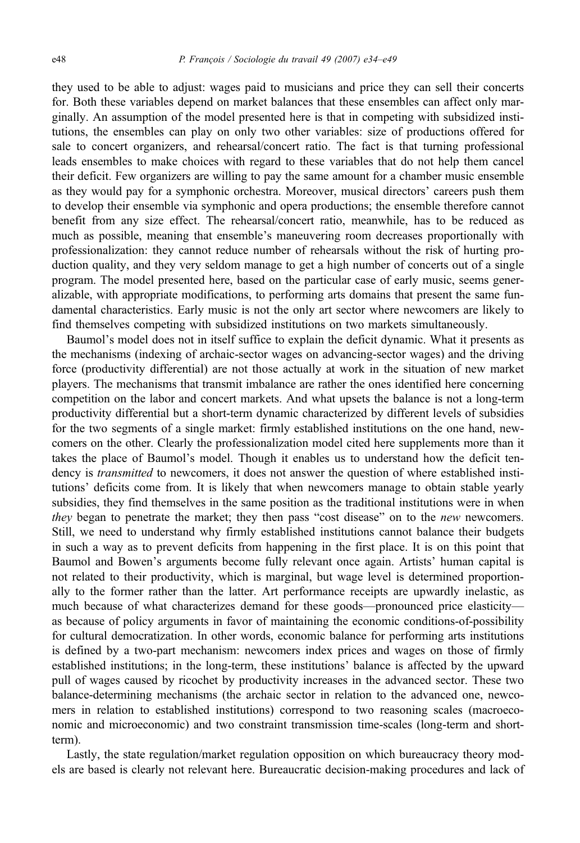they used to be able to adjust: wages paid to musicians and price they can sell their concerts for. Both these variables depend on market balances that these ensembles can affect only marginally. An assumption of the model presented here is that in competing with subsidized institutions, the ensembles can play on only two other variables: size of productions offered for sale to concert organizers, and rehearsal/concert ratio. The fact is that turning professional leads ensembles to make choices with regard to these variables that do not help them cancel their deficit. Few organizers are willing to pay the same amount for a chamber music ensemble as they would pay for a symphonic orchestra. Moreover, musical directors' careers push them to develop their ensemble via symphonic and opera productions; the ensemble therefore cannot benefit from any size effect. The rehearsal/concert ratio, meanwhile, has to be reduced as much as possible, meaning that ensemble's maneuvering room decreases proportionally with professionalization: they cannot reduce number of rehearsals without the risk of hurting production quality, and they very seldom manage to get a high number of concerts out of a single program. The model presented here, based on the particular case of early music, seems generalizable, with appropriate modifications, to performing arts domains that present the same fundamental characteristics. Early music is not the only art sector where newcomers are likely to find themselves competing with subsidized institutions on two markets simultaneously.

Baumol's model does not in itself suffice to explain the deficit dynamic. What it presents as the mechanisms (indexing of archaic-sector wages on advancing-sector wages) and the driving force (productivity differential) are not those actually at work in the situation of new market players. The mechanisms that transmit imbalance are rather the ones identified here concerning competition on the labor and concert markets. And what upsets the balance is not a long-term productivity differential but a short-term dynamic characterized by different levels of subsidies for the two segments of a single market: firmly established institutions on the one hand, newcomers on the other. Clearly the professionalization model cited here supplements more than it takes the place of Baumol's model. Though it enables us to understand how the deficit tendency is *transmitted* to newcomers, it does not answer the question of where established institutions' deficits come from. It is likely that when newcomers manage to obtain stable yearly subsidies, they find themselves in the same position as the traditional institutions were in when they began to penetrate the market; they then pass "cost disease" on to the *new* newcomers. Still, we need to understand why firmly established institutions cannot balance their budgets in such a way as to prevent deficits from happening in the first place. It is on this point that Baumol and Bowen's arguments become fully relevant once again. Artists' human capital is not related to their productivity, which is marginal, but wage level is determined proportionally to the former rather than the latter. Art performance receipts are upwardly inelastic, as much because of what characterizes demand for these goods—pronounced price elasticity as because of policy arguments in favor of maintaining the economic conditions-of-possibility for cultural democratization. In other words, economic balance for performing arts institutions is defined by a two-part mechanism: newcomers index prices and wages on those of firmly established institutions; in the long-term, these institutions' balance is affected by the upward pull of wages caused by ricochet by productivity increases in the advanced sector. These two balance-determining mechanisms (the archaic sector in relation to the advanced one, newcomers in relation to established institutions) correspond to two reasoning scales (macroeconomic and microeconomic) and two constraint transmission time-scales (long-term and shortterm).

Lastly, the state regulation/market regulation opposition on which bureaucracy theory models are based is clearly not relevant here. Bureaucratic decision-making procedures and lack of